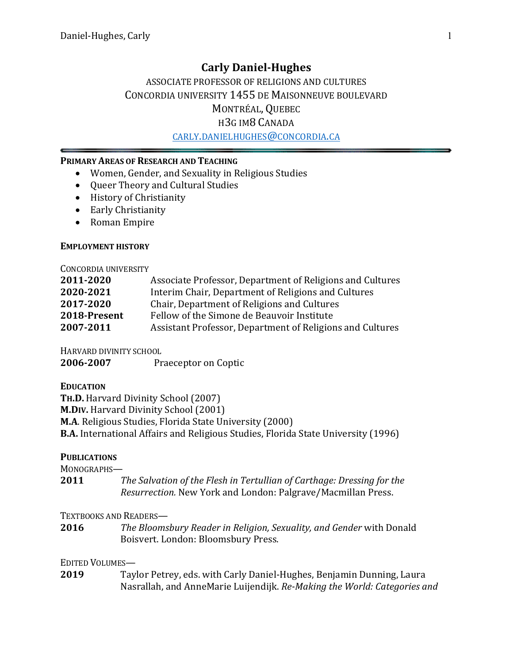# **Carly Daniel-Hughes**

# ASSOCIATE PROFESSOR OF RELIGIONS AND CULTURES CONCORDIA UNIVERSITY 1455 DE MAISONNEUVE BOULEVARD MONTRÉAL, QUEBEC H3G IM8 CANADA

CARLY.DANIELHUGHES@CONCORDIA.CA

### **PRIMARY AREAS OF RESEARCH AND TEACHING**

- Women, Gender, and Sexuality in Religious Studies
- Oueer Theory and Cultural Studies
- History of Christianity
- Early Christianity
- Roman Empire

#### **EMPLOYMENT HISTORY**

#### CONCORDIA UNIVERSITY

| 2011-2020    | Associate Professor, Department of Religions and Cultures |
|--------------|-----------------------------------------------------------|
| 2020-2021    | Interim Chair, Department of Religions and Cultures       |
| 2017-2020    | Chair, Department of Religions and Cultures               |
| 2018-Present | Fellow of the Simone de Beauvoir Institute                |
| 2007-2011    | Assistant Professor, Department of Religions and Cultures |

HARVARD DIVINITY SCHOOL

**2006-2007** Praeceptor on Coptic

**EDUCATION**

**TH.D.** Harvard Divinity School (2007) **M.DIV.** Harvard Divinity School (2001) **M.A**. Religious Studies, Florida State University (2000) **B.A.** International Affairs and Religious Studies, Florida State University (1996)

### **PUBLICATIONS**

MONOGRAPHS-

**2011** *The Salvation of the Flesh in Tertullian of Carthage: Dressing for the Resurrection.* New York and London: Palgrave/Macmillan Press. 

### TEXTBOOKS AND READERS-

**2016** *The Bloomsbury Reader in Religion, Sexuality, and Gender with Donald* Boisvert. London: Bloomsbury Press.

### EDITED VOLUMES-

**2019** Taylor Petrey, eds. with Carly Daniel-Hughes, Benjamin Dunning, Laura Nasrallah, and AnneMarie Luijendijk. Re-Making the World: Categories and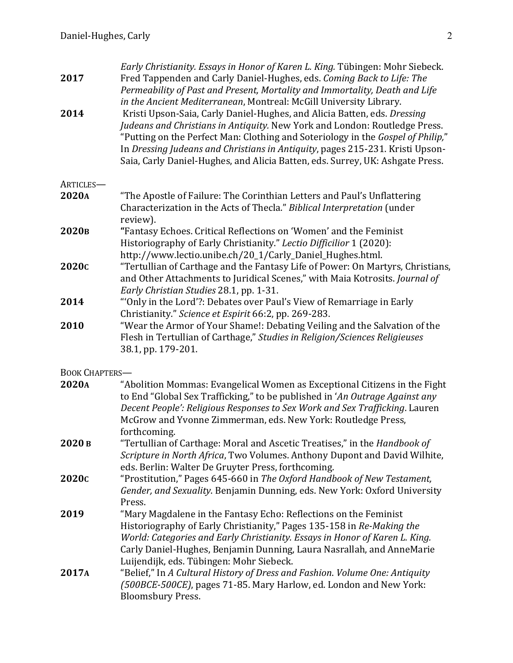| 2017              | Early Christianity. Essays in Honor of Karen L. King. Tübingen: Mohr Siebeck.<br>Fred Tappenden and Carly Daniel-Hughes, eds. Coming Back to Life: The<br>Permeability of Past and Present, Mortality and Immortality, Death and Life<br>in the Ancient Mediterranean, Montreal: McGill University Library.                                                                                                 |
|-------------------|-------------------------------------------------------------------------------------------------------------------------------------------------------------------------------------------------------------------------------------------------------------------------------------------------------------------------------------------------------------------------------------------------------------|
| 2014              | Kristi Upson-Saia, Carly Daniel-Hughes, and Alicia Batten, eds. Dressing<br>Judeans and Christians in Antiquity. New York and London: Routledge Press.<br>"Putting on the Perfect Man: Clothing and Soteriology in the Gospel of Philip,"<br>In Dressing Judeans and Christians in Antiquity, pages 215-231. Kristi Upson-<br>Saia, Carly Daniel-Hughes, and Alicia Batten, eds. Surrey, UK: Ashgate Press. |
| ARTICLES-         |                                                                                                                                                                                                                                                                                                                                                                                                             |
| 2020A             | "The Apostle of Failure: The Corinthian Letters and Paul's Unflattering<br>Characterization in the Acts of Thecla." Biblical Interpretation (under<br>review).                                                                                                                                                                                                                                              |
| 2020 <sub>B</sub> | "Fantasy Echoes. Critical Reflections on 'Women' and the Feminist<br>Historiography of Early Christianity." Lectio Difficilior 1 (2020):<br>http://www.lectio.unibe.ch/20_1/Carly_Daniel_Hughes.html.                                                                                                                                                                                                       |
| 2020c             | "Tertullian of Carthage and the Fantasy Life of Power: On Martyrs, Christians,<br>and Other Attachments to Juridical Scenes," with Maia Kotrosits. Journal of<br>Early Christian Studies 28.1, pp. 1-31.                                                                                                                                                                                                    |
| 2014              | "Only in the Lord'?: Debates over Paul's View of Remarriage in Early<br>Christianity." Science et Espirit 66:2, pp. 269-283.                                                                                                                                                                                                                                                                                |
| 2010              | "Wear the Armor of Your Shame!: Debating Veiling and the Salvation of the<br>Flesh in Tertullian of Carthage," Studies in Religion/Sciences Religieuses<br>38.1, pp. 179-201.                                                                                                                                                                                                                               |

BOOK CHAPTERS-

| 2020A             | "Abolition Mommas: Evangelical Women as Exceptional Citizens in the Fight<br>to End "Global Sex Trafficking," to be published in 'An Outrage Against any                      |
|-------------------|-------------------------------------------------------------------------------------------------------------------------------------------------------------------------------|
|                   | Decent People': Religious Responses to Sex Work and Sex Trafficking. Lauren                                                                                                   |
|                   | McGrow and Yvonne Zimmerman, eds. New York: Routledge Press,                                                                                                                  |
|                   | forthcoming.                                                                                                                                                                  |
| 2020 в            | "Tertullian of Carthage: Moral and Ascetic Treatises," in the Handbook of                                                                                                     |
|                   | Scripture in North Africa, Two Volumes. Anthony Dupont and David Wilhite,                                                                                                     |
|                   | eds. Berlin: Walter De Gruyter Press, forthcoming.                                                                                                                            |
| 2020 <sub>C</sub> | "Prostitution," Pages 645-660 in The Oxford Handbook of New Testament,                                                                                                        |
|                   | Gender, and Sexuality. Benjamin Dunning, eds. New York: Oxford University                                                                                                     |
|                   | Press.                                                                                                                                                                        |
| 2019              | "Mary Magdalene in the Fantasy Echo: Reflections on the Feminist                                                                                                              |
|                   | Historiography of Early Christianity," Pages 135-158 in Re-Making the                                                                                                         |
|                   | World: Categories and Early Christianity. Essays in Honor of Karen L. King.                                                                                                   |
|                   | Carly Daniel-Hughes, Benjamin Dunning, Laura Nasrallah, and AnneMarie                                                                                                         |
|                   | Luijendijk, eds. Tübingen: Mohr Siebeck.                                                                                                                                      |
| 2017A             | "Belief," In A Cultural History of Dress and Fashion. Volume One: Antiquity<br>(500BCE-500CE), pages 71-85. Mary Harlow, ed. London and New York:<br><b>Bloomsbury Press.</b> |
|                   |                                                                                                                                                                               |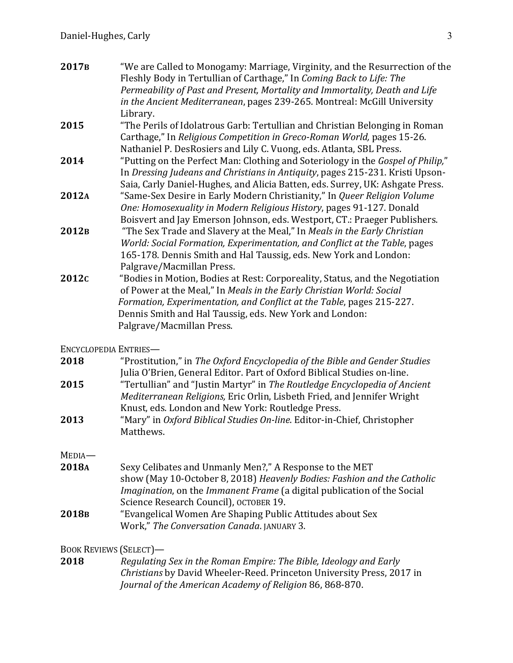| 2017 <sub>B</sub> | "We are Called to Monogamy: Marriage, Virginity, and the Resurrection of the    |
|-------------------|---------------------------------------------------------------------------------|
|                   | Fleshly Body in Tertullian of Carthage," In Coming Back to Life: The            |
|                   | Permeability of Past and Present, Mortality and Immortality, Death and Life     |
|                   | in the Ancient Mediterranean, pages 239-265. Montreal: McGill University        |
|                   | Library.                                                                        |
| 2015              | "The Perils of Idolatrous Garb: Tertullian and Christian Belonging in Roman     |
|                   | Carthage," In Religious Competition in Greco-Roman World, pages 15-26.          |
|                   | Nathaniel P. DesRosiers and Lily C. Vuong, eds. Atlanta, SBL Press.             |
| 2014              | "Putting on the Perfect Man: Clothing and Soteriology in the Gospel of Philip," |
|                   | In Dressing Judeans and Christians in Antiquity, pages 215-231. Kristi Upson-   |
|                   | Saia, Carly Daniel-Hughes, and Alicia Batten, eds. Surrey, UK: Ashgate Press.   |
| 2012A             | "Same-Sex Desire in Early Modern Christianity," In Queer Religion Volume        |
|                   | One: Homosexuality in Modern Religious History, pages 91-127. Donald            |
|                   | Boisvert and Jay Emerson Johnson, eds. Westport, CT.: Praeger Publishers.       |
| 2012 <sub>B</sub> | "The Sex Trade and Slavery at the Meal," In Meals in the Early Christian        |
|                   | World: Social Formation, Experimentation, and Conflict at the Table, pages      |
|                   | 165-178. Dennis Smith and Hal Taussig, eds. New York and London:                |
|                   | Palgrave/Macmillan Press.                                                       |
| 2012c             | "Bodies in Motion, Bodies at Rest: Corporeality, Status, and the Negotiation    |
|                   | of Power at the Meal," In Meals in the Early Christian World: Social            |
|                   | Formation, Experimentation, and Conflict at the Table, pages 215-227.           |
|                   | Dennis Smith and Hal Taussig, eds. New York and London:                         |
|                   | Palgrave/Macmillan Press.                                                       |
|                   |                                                                                 |

ENCYCLOPEDIA ENTRIES-

| 2018 | "Prostitution," in The Oxford Encyclopedia of the Bible and Gender Studies |
|------|----------------------------------------------------------------------------|
|      | Julia O'Brien, General Editor. Part of Oxford Biblical Studies on-line.    |
| 2015 | "Tertullian" and "Justin Martyr" in The Routledge Encyclopedia of Ancient  |
|      | Mediterranean Religions, Eric Orlin, Lisbeth Fried, and Jennifer Wright    |
|      | Knust, eds. London and New York: Routledge Press.                          |
| 2013 | "Mary" in Oxford Biblical Studies On-line. Editor-in-Chief, Christopher    |
|      | Matthews.                                                                  |

MEDIA—

| 2018A             | Sexy Celibates and Unmanly Men?," A Response to the MET                                |
|-------------------|----------------------------------------------------------------------------------------|
|                   | show (May 10-October 8, 2018) Heavenly Bodies: Fashion and the Catholic                |
|                   | <i>Imagination</i> , on the <i>Immanent Frame</i> (a digital publication of the Social |
|                   | Science Research Council), OCTOBER 19.                                                 |
| 2018 <sub>B</sub> | "Evangelical Women Are Shaping Public Attitudes about Sex                              |

Work," *The Conversation Canada*. JANUARY 3.

# BOOK REVIEWS (SELECT)-

**2018** *Regulating Sex in the Roman Empire: The Bible, Ideology and Early Christians* by David Wheeler-Reed. Princeton University Press, 2017 in Journal of the American Academy of Religion 86, 868-870.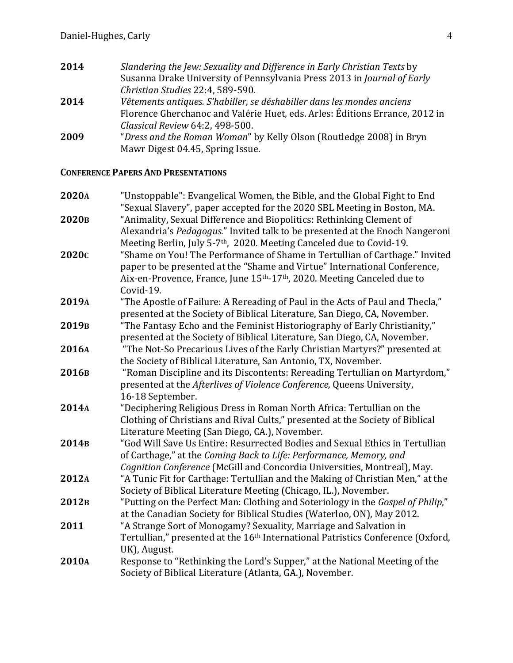- **2014** Slandering the Jew: Sexuality and Difference in Early Christian Texts by Susanna Drake University of Pennsylvania Press 2013 in *Journal of Early Christian Studies* 22:4, 589-590. **2014** *Vêtements antiques. S'habiller, se déshabiller dans les mondes anciens* Florence Gherchanoc and Valérie Huet, eds. Arles: Éditions Errance, 2012 in *Classical Review* 64:2, 498-500.
- **2009** "*Dress and the Roman Woman*" by Kelly Olson (Routledge 2008) in Bryn Mawr Digest 04.45, Spring Issue.

### **CONFERENCE PAPERS AND PRESENTATIONS**

| 2020A             | "Unstoppable": Evangelical Women, the Bible, and the Global Fight to End<br>"Sexual Slavery", paper accepted for the 2020 SBL Meeting in Boston, MA.                                                                                                                      |
|-------------------|---------------------------------------------------------------------------------------------------------------------------------------------------------------------------------------------------------------------------------------------------------------------------|
| 2020в             | "Animality, Sexual Difference and Biopolitics: Rethinking Clement of<br>Alexandria's Pedagogus." Invited talk to be presented at the Enoch Nangeroni<br>Meeting Berlin, July 5-7 <sup>th</sup> , 2020. Meeting Canceled due to Covid-19.                                  |
| 2020c             | "Shame on You! The Performance of Shame in Tertullian of Carthage." Invited<br>paper to be presented at the "Shame and Virtue" International Conference,<br>Aix-en-Provence, France, June 15 <sup>th</sup> -17 <sup>th</sup> , 2020. Meeting Canceled due to<br>Covid-19. |
| 2019A             | "The Apostle of Failure: A Rereading of Paul in the Acts of Paul and Thecla,"<br>presented at the Society of Biblical Literature, San Diego, CA, November.                                                                                                                |
| 2019 <sub>B</sub> | "The Fantasy Echo and the Feminist Historiography of Early Christianity,"<br>presented at the Society of Biblical Literature, San Diego, CA, November.                                                                                                                    |
| 2016A             | "The Not-So Precarious Lives of the Early Christian Martyrs?" presented at<br>the Society of Biblical Literature, San Antonio, TX, November.                                                                                                                              |
| 2016в             | "Roman Discipline and its Discontents: Rereading Tertullian on Martyrdom,"<br>presented at the Afterlives of Violence Conference, Queens University,<br>16-18 September.                                                                                                  |
| 2014A             | "Deciphering Religious Dress in Roman North Africa: Tertullian on the<br>Clothing of Christians and Rival Cults," presented at the Society of Biblical<br>Literature Meeting (San Diego, CA.), November.                                                                  |
| 2014 <sub>B</sub> | "God Will Save Us Entire: Resurrected Bodies and Sexual Ethics in Tertullian<br>of Carthage," at the Coming Back to Life: Performance, Memory, and<br>Cognition Conference (McGill and Concordia Universities, Montreal), May.                                            |
| 2012A             | "A Tunic Fit for Carthage: Tertullian and the Making of Christian Men," at the<br>Society of Biblical Literature Meeting (Chicago, IL.), November.                                                                                                                        |
| 2012 <sub>B</sub> | "Putting on the Perfect Man: Clothing and Soteriology in the Gospel of Philip,"<br>at the Canadian Society for Biblical Studies (Waterloo, ON), May 2012.                                                                                                                 |
| 2011              | "A Strange Sort of Monogamy? Sexuality, Marriage and Salvation in<br>Tertullian," presented at the 16 <sup>th</sup> International Patristics Conference (Oxford,<br>UK), August.                                                                                          |
| 2010A             | Response to "Rethinking the Lord's Supper," at the National Meeting of the<br>Society of Biblical Literature (Atlanta, GA.), November.                                                                                                                                    |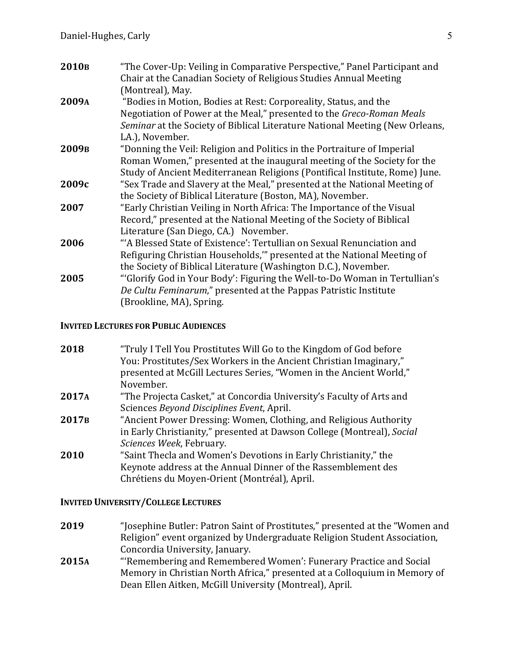| 2010 <sub>B</sub> | "The Cover-Up: Veiling in Comparative Perspective," Panel Participant and    |
|-------------------|------------------------------------------------------------------------------|
|                   | Chair at the Canadian Society of Religious Studies Annual Meeting            |
|                   | (Montreal), May.                                                             |
| 2009A             | "Bodies in Motion, Bodies at Rest: Corporeality, Status, and the             |
|                   | Negotiation of Power at the Meal," presented to the Greco-Roman Meals        |
|                   | Seminar at the Society of Biblical Literature National Meeting (New Orleans, |
|                   | LA.), November.                                                              |
| 2009 <sub>B</sub> | "Donning the Veil: Religion and Politics in the Portraiture of Imperial      |
|                   | Roman Women," presented at the inaugural meeting of the Society for the      |
|                   | Study of Ancient Mediterranean Religions (Pontifical Institute, Rome) June.  |
| 2009с             | "Sex Trade and Slavery at the Meal," presented at the National Meeting of    |
|                   | the Society of Biblical Literature (Boston, MA), November.                   |
| 2007              | "Early Christian Veiling in North Africa: The Importance of the Visual       |
|                   | Record," presented at the National Meeting of the Society of Biblical        |
|                   | Literature (San Diego, CA.) November.                                        |
| 2006              | "A Blessed State of Existence': Tertullian on Sexual Renunciation and        |
|                   | Refiguring Christian Households," presented at the National Meeting of       |
|                   | the Society of Biblical Literature (Washington D.C.), November.              |
| 2005              | "Glorify God in Your Body': Figuring the Well-to-Do Woman in Tertullian's    |
|                   | De Cultu Feminarum," presented at the Pappas Patristic Institute             |
|                   | (Brookline, MA), Spring.                                                     |
|                   |                                                                              |

#### **INVITED LECTURES FOR PUBLIC AUDIENCES**

| presented at McGill Lectures Series, "Women in the Ancient World,"<br>November.<br>2017A<br>"The Projecta Casket," at Concordia University's Faculty of Arts and<br>Sciences Beyond Disciplines Event, April.<br>2017 <sub>B</sub> | 2018 | "Truly I Tell You Prostitutes Will Go to the Kingdom of God before     |
|------------------------------------------------------------------------------------------------------------------------------------------------------------------------------------------------------------------------------------|------|------------------------------------------------------------------------|
|                                                                                                                                                                                                                                    |      | You: Prostitutes/Sex Workers in the Ancient Christian Imaginary,"      |
|                                                                                                                                                                                                                                    |      |                                                                        |
|                                                                                                                                                                                                                                    |      |                                                                        |
|                                                                                                                                                                                                                                    |      |                                                                        |
|                                                                                                                                                                                                                                    |      |                                                                        |
|                                                                                                                                                                                                                                    |      | "Ancient Power Dressing: Women, Clothing, and Religious Authority      |
|                                                                                                                                                                                                                                    |      | in Early Christianity," presented at Dawson College (Montreal), Social |
|                                                                                                                                                                                                                                    |      | Sciences Week, February.                                               |
| "Saint Thecla and Women's Devotions in Early Christianity," the<br>2010                                                                                                                                                            |      |                                                                        |
| Keynote address at the Annual Dinner of the Rassemblement des                                                                                                                                                                      |      |                                                                        |
|                                                                                                                                                                                                                                    |      | Chrétiens du Moyen-Orient (Montréal), April.                           |

### **INVITED UNIVERSITY/COLLEGE LECTURES**

- **2019** "Josephine Butler: Patron Saint of Prostitutes," presented at the "Women and Religion" event organized by Undergraduate Religion Student Association, Concordia University, January.
- 2015A ""Remembering and Remembered Women': Funerary Practice and Social Memory in Christian North Africa," presented at a Colloquium in Memory of Dean Ellen Aitken, McGill University (Montreal), April.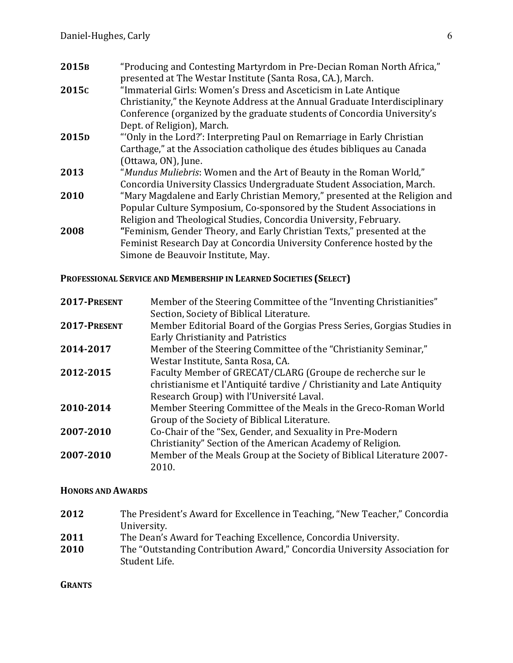| "Producing and Contesting Martyrdom in Pre-Decian Roman North Africa,"<br>2015 <sub>B</sub>  |  |
|----------------------------------------------------------------------------------------------|--|
| presented at The Westar Institute (Santa Rosa, CA.), March.                                  |  |
| "Immaterial Girls: Women's Dress and Asceticism in Late Antique<br>2015c                     |  |
| Christianity," the Keynote Address at the Annual Graduate Interdisciplinary                  |  |
| Conference (organized by the graduate students of Concordia University's                     |  |
| Dept. of Religion), March.                                                                   |  |
| 2015 <sub>D</sub><br>"Only in the Lord?': Interpreting Paul on Remarriage in Early Christian |  |
| Carthage," at the Association catholique des études bibliques au Canada                      |  |
| (Ottawa, ON), June.                                                                          |  |
| 2013<br>"Mundus Muliebris: Women and the Art of Beauty in the Roman World,"                  |  |
| Concordia University Classics Undergraduate Student Association, March.                      |  |
| "Mary Magdalene and Early Christian Memory," presented at the Religion and<br>2010           |  |
| Popular Culture Symposium, Co-sponsored by the Student Associations in                       |  |
| Religion and Theological Studies, Concordia University, February.                            |  |
| "Feminism, Gender Theory, and Early Christian Texts," presented at the<br>2008               |  |
| Feminist Research Day at Concordia University Conference hosted by the                       |  |
| Simone de Beauvoir Institute, May.                                                           |  |

# **PROFESSIONAL SERVICE AND MEMBERSHIP IN LEARNED SOCIETIES (SELECT)**

| 2017-PRESENT | Member of the Steering Committee of the "Inventing Christianities"<br>Section, Society of Biblical Literature.                                                                   |
|--------------|----------------------------------------------------------------------------------------------------------------------------------------------------------------------------------|
| 2017-PRESENT | Member Editorial Board of the Gorgias Press Series, Gorgias Studies in<br>Early Christianity and Patristics                                                                      |
| 2014-2017    | Member of the Steering Committee of the "Christianity Seminar,"<br>Westar Institute, Santa Rosa, CA.                                                                             |
| 2012-2015    | Faculty Member of GRECAT/CLARG (Groupe de recherche sur le<br>christianisme et l'Antiquité tardive / Christianity and Late Antiquity<br>Research Group) with l'Université Laval. |
| 2010-2014    | Member Steering Committee of the Meals in the Greco-Roman World<br>Group of the Society of Biblical Literature.                                                                  |
| 2007-2010    | Co-Chair of the "Sex, Gender, and Sexuality in Pre-Modern<br>Christianity" Section of the American Academy of Religion.                                                          |
| 2007-2010    | Member of the Meals Group at the Society of Biblical Literature 2007-<br>2010.                                                                                                   |

### **HONORS AND AWARDS**

| 2012 | The President's Award for Excellence in Teaching, "New Teacher," Concordia                  |
|------|---------------------------------------------------------------------------------------------|
|      | University.                                                                                 |
| 2011 | The Dean's Award for Teaching Excellence, Concordia University.                             |
| 2010 | The "Outstanding Contribution Award," Concordia University Association for<br>Student Life. |
|      |                                                                                             |

**GRANTS**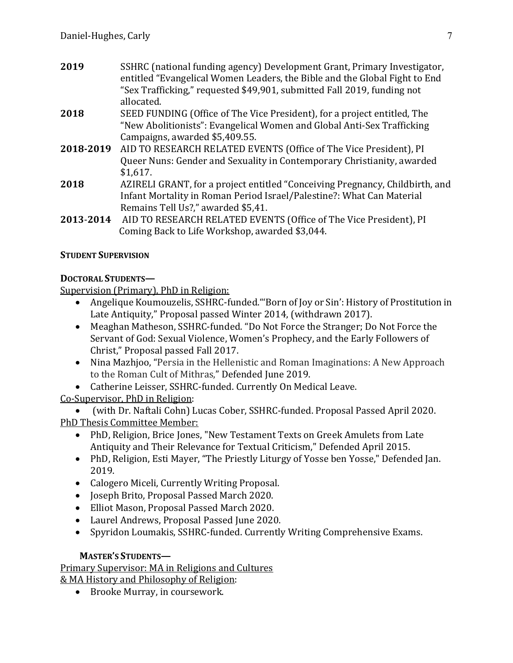- **2019** SSHRC (national funding agency) Development Grant, Primary Investigator, entitled "Evangelical Women Leaders, the Bible and the Global Fight to End "Sex Trafficking," requested \$49,901, submitted Fall 2019, funding not allocated.
- **2018** SEED FUNDING (Office of The Vice President), for a project entitled, The "New Abolitionists": Evangelical Women and Global Anti-Sex Trafficking Campaigns, awarded \$5,409.55.
- **2018-2019** AID TO RESEARCH RELATED EVENTS (Office of The Vice President), PI Queer Nuns: Gender and Sexuality in Contemporary Christianity, awarded \$1,617.
- **2018 AZIRELI GRANT, for a project entitled "Conceiving Pregnancy, Childbirth, and** Infant Mortality in Roman Period Israel/Palestine?: What Can Material Remains Tell Us?," awarded \$5,41.
- **2013-2014** AID TO RESEARCH RELATED EVENTS (Office of The Vice President), PI Coming Back to Life Workshop, awarded \$3,044.

# **STUDENT SUPERVISION**

# **DOCTORAL STUDENTS—**

Supervision (Primary), PhD in Religion:

- Angelique Koumouzelis, SSHRC-funded. "Born of Joy or Sin': History of Prostitution in Late Antiquity," Proposal passed Winter 2014, (withdrawn 2017).
- Meaghan Matheson, SSHRC-funded. "Do Not Force the Stranger; Do Not Force the Servant of God: Sexual Violence, Women's Prophecy, and the Early Followers of Christ," Proposal passed Fall 2017.
- Nina Mazhjoo, "Persia in the Hellenistic and Roman Imaginations: A New Approach to the Roman Cult of Mithras," Defended June 2019.
- Catherine Leisser, SSHRC-funded. Currently On Medical Leave.

# Co-Supervisor, PhD in Religion:

(with Dr. Naftali Cohn) Lucas Cober, SSHRC-funded. Proposal Passed April 2020. PhD Thesis Committee Member:

- PhD, Religion, Brice Jones, "New Testament Texts on Greek Amulets from Late Antiquity and Their Relevance for Textual Criticism," Defended April 2015.
- PhD, Religion, Esti Mayer, "The Priestly Liturgy of Yosse ben Yosse," Defended Jan. 2019.
- Calogero Miceli, Currently Writing Proposal.
- Joseph Brito, Proposal Passed March 2020.
- Elliot Mason, Proposal Passed March 2020.
- Laurel Andrews, Proposal Passed June 2020.
- Spyridon Loumakis, SSHRC-funded. Currently Writing Comprehensive Exams.

# **MASTER'S STUDENTS—**

Primary Supervisor: MA in Religions and Cultures & MA History and Philosophy of Religion:

• Brooke Murray, in coursework.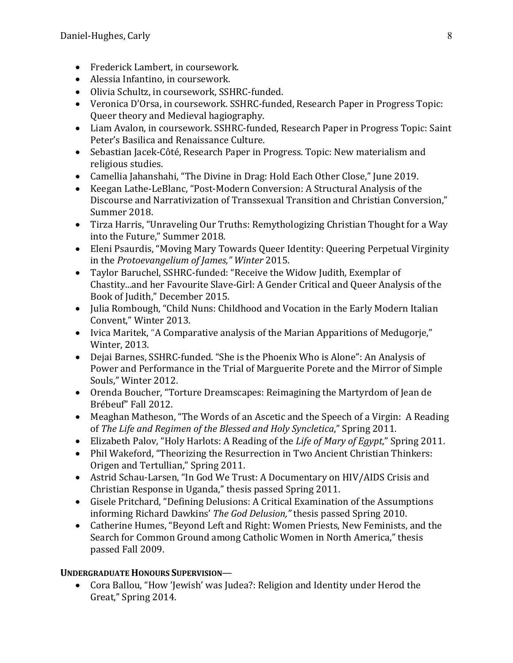- Frederick Lambert, in coursework.
- Alessia Infantino, in coursework.
- Olivia Schultz, in coursework, SSHRC-funded.
- Veronica D'Orsa, in coursework. SSHRC-funded, Research Paper in Progress Topic: Queer theory and Medieval hagiography.
- Liam Avalon, in coursework. SSHRC-funded, Research Paper in Progress Topic: Saint Peter's Basilica and Renaissance Culture.
- Sebastian Jacek-Côté, Research Paper in Progress. Topic: New materialism and religious studies.
- Camellia Jahanshahi, "The Divine in Drag: Hold Each Other Close," June 2019.
- Keegan Lathe-LeBlanc, "Post-Modern Conversion: A Structural Analysis of the Discourse and Narrativization of Transsexual Transition and Christian Conversion," Summer 2018.
- Tirza Harris, "Unraveling Our Truths: Remythologizing Christian Thought for a Way into the Future," Summer 2018.
- Eleni Psaurdis, "Moving Mary Towards Queer Identity: Queering Perpetual Virginity in the *Protoevangelium* of *James*," Winter 2015.
- Taylor Baruchel, SSHRC-funded: "Receive the Widow Judith, Exemplar of Chastity...and her Favourite Slave-Girl: A Gender Critical and Queer Analysis of the Book of Judith," December 2015.
- Julia Rombough, "Child Nuns: Childhood and Vocation in the Early Modern Italian Convent," Winter 2013.
- Ivica Maritek, "A Comparative analysis of the Marian Apparitions of Medugorje," Winter, 2013.
- Dejai Barnes, SSHRC-funded. "She is the Phoenix Who is Alone": An Analysis of Power and Performance in the Trial of Marguerite Porete and the Mirror of Simple Souls," Winter 2012.
- Orenda Boucher, "Torture Dreamscapes: Reimagining the Martyrdom of Jean de Brébeuf" Fall 2012.
- Meaghan Matheson, "The Words of an Ascetic and the Speech of a Virgin: A Reading of The Life and Regimen of the Blessed and Holy Syncletica," Spring 2011.
- Elizabeth Palov, "Holy Harlots: A Reading of the *Life of Mary of Egypt*," Spring 2011.
- Phil Wakeford, "Theorizing the Resurrection in Two Ancient Christian Thinkers: Origen and Tertullian," Spring 2011.
- Astrid Schau-Larsen, "In God We Trust: A Documentary on HIV/AIDS Crisis and Christian Response in Uganda," thesis passed Spring 2011.
- Gisele Pritchard, "Defining Delusions: A Critical Examination of the Assumptions informing Richard Dawkins' *The God Delusion*," thesis passed Spring 2010.
- Catherine Humes, "Beyond Left and Right: Women Priests, New Feminists, and the Search for Common Ground among Catholic Women in North America," thesis passed Fall 2009.

# **UNDERGRADUATE HONOURS SUPERVISION—**

• Cora Ballou, "How 'Jewish' was Judea?: Religion and Identity under Herod the Great," Spring 2014.